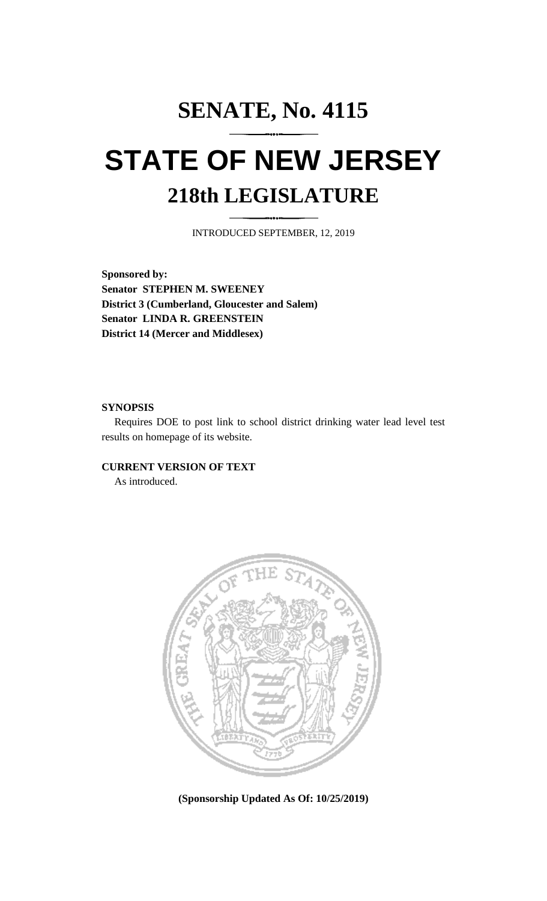# **SENATE, No. 4115 STATE OF NEW JERSEY 218th LEGISLATURE**

INTRODUCED SEPTEMBER, 12, 2019

**Sponsored by: Senator STEPHEN M. SWEENEY District 3 (Cumberland, Gloucester and Salem) Senator LINDA R. GREENSTEIN District 14 (Mercer and Middlesex)**

#### **SYNOPSIS**

Requires DOE to post link to school district drinking water lead level test results on homepage of its website.

## **CURRENT VERSION OF TEXT**

As introduced.



**(Sponsorship Updated As Of: 10/25/2019)**